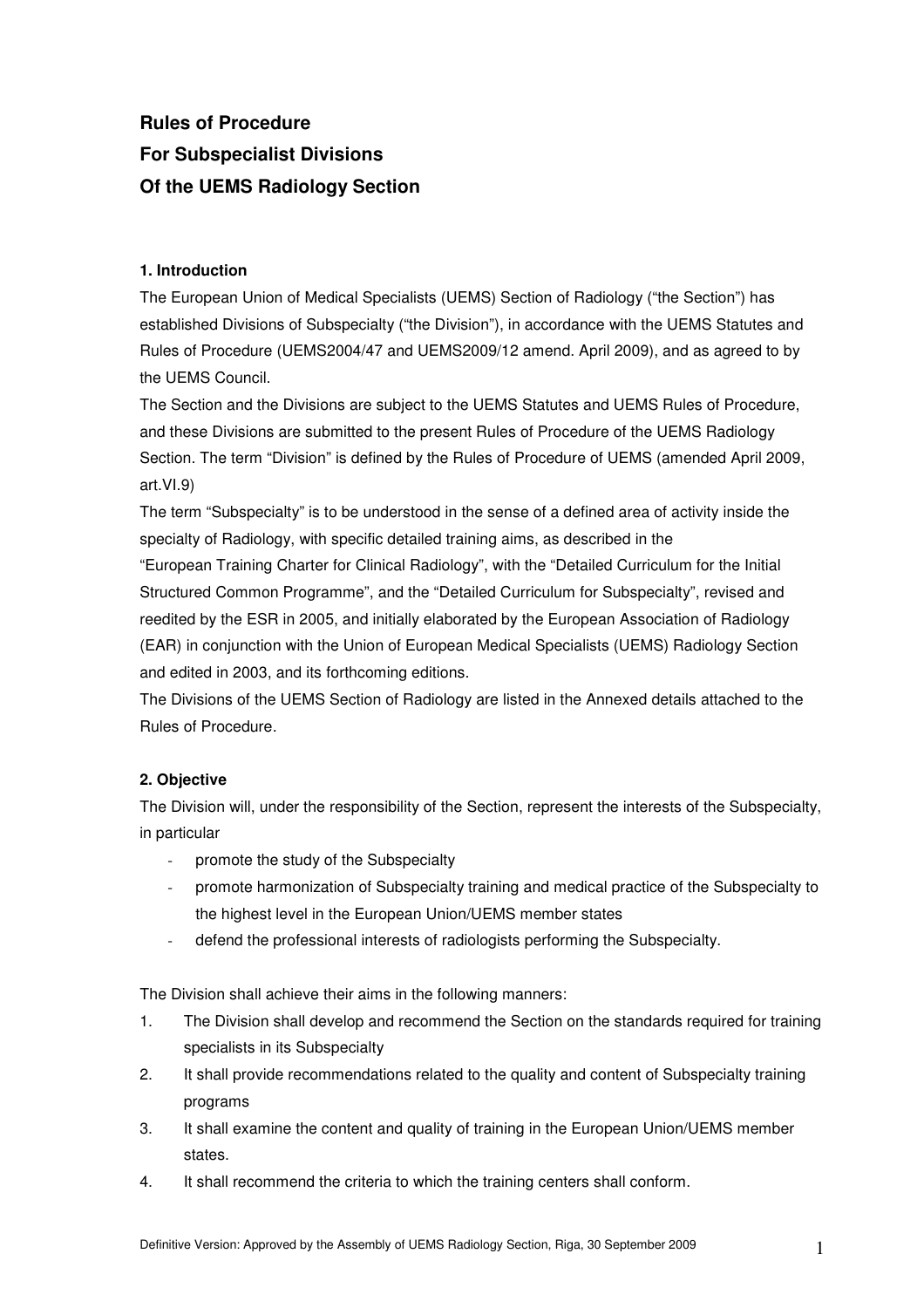# **Rules of Procedure For Subspecialist Divisions Of the UEMS Radiology Section**

# **1. Introduction**

The European Union of Medical Specialists (UEMS) Section of Radiology ("the Section") has established Divisions of Subspecialty ("the Division"), in accordance with the UEMS Statutes and Rules of Procedure (UEMS2004/47 and UEMS2009/12 amend. April 2009), and as agreed to by the UEMS Council.

The Section and the Divisions are subject to the UEMS Statutes and UEMS Rules of Procedure, and these Divisions are submitted to the present Rules of Procedure of the UEMS Radiology Section. The term "Division" is defined by the Rules of Procedure of UEMS (amended April 2009, art.VI.9)

The term "Subspecialty" is to be understood in the sense of a defined area of activity inside the specialty of Radiology, with specific detailed training aims, as described in the

"European Training Charter for Clinical Radiology", with the "Detailed Curriculum for the Initial Structured Common Programme", and the "Detailed Curriculum for Subspecialty", revised and reedited by the ESR in 2005, and initially elaborated by the European Association of Radiology (EAR) in conjunction with the Union of European Medical Specialists (UEMS) Radiology Section and edited in 2003, and its forthcoming editions.

The Divisions of the UEMS Section of Radiology are listed in the Annexed details attached to the Rules of Procedure.

# **2. Objective**

The Division will, under the responsibility of the Section, represent the interests of the Subspecialty, in particular

- promote the study of the Subspecialty
- promote harmonization of Subspecialty training and medical practice of the Subspecialty to the highest level in the European Union/UEMS member states
- defend the professional interests of radiologists performing the Subspecialty.

The Division shall achieve their aims in the following manners:

- 1. The Division shall develop and recommend the Section on the standards required for training specialists in its Subspecialty
- 2. It shall provide recommendations related to the quality and content of Subspecialty training programs
- 3. It shall examine the content and quality of training in the European Union/UEMS member states.
- 4. It shall recommend the criteria to which the training centers shall conform.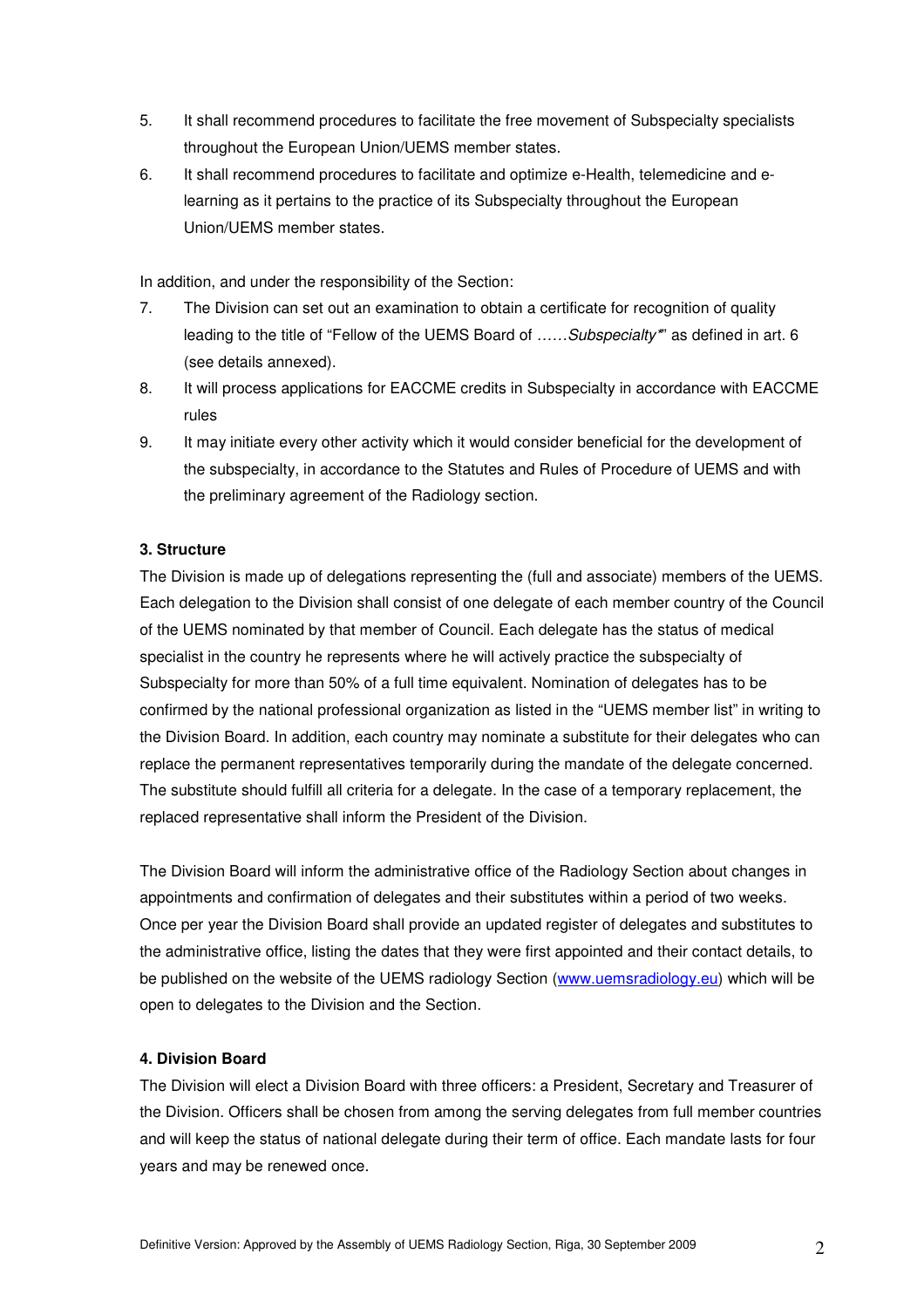- 5. It shall recommend procedures to facilitate the free movement of Subspecialty specialists throughout the European Union/UEMS member states.
- 6. It shall recommend procedures to facilitate and optimize e-Health, telemedicine and elearning as it pertains to the practice of its Subspecialty throughout the European Union/UEMS member states.

In addition, and under the responsibility of the Section:

- 7. The Division can set out an examination to obtain a certificate for recognition of quality leading to the title of "Fellow of the UEMS Board of ......Subspecialty" as defined in art. 6 (see details annexed).
- 8. It will process applications for EACCME credits in Subspecialty in accordance with EACCME rules
- 9. It may initiate every other activity which it would consider beneficial for the development of the subspecialty, in accordance to the Statutes and Rules of Procedure of UEMS and with the preliminary agreement of the Radiology section.

# **3. Structure**

The Division is made up of delegations representing the (full and associate) members of the UEMS. Each delegation to the Division shall consist of one delegate of each member country of the Council of the UEMS nominated by that member of Council. Each delegate has the status of medical specialist in the country he represents where he will actively practice the subspecialty of Subspecialty for more than 50% of a full time equivalent. Nomination of delegates has to be confirmed by the national professional organization as listed in the "UEMS member list" in writing to the Division Board. In addition, each country may nominate a substitute for their delegates who can replace the permanent representatives temporarily during the mandate of the delegate concerned. The substitute should fulfill all criteria for a delegate. In the case of a temporary replacement, the replaced representative shall inform the President of the Division.

The Division Board will inform the administrative office of the Radiology Section about changes in appointments and confirmation of delegates and their substitutes within a period of two weeks. Once per year the Division Board shall provide an updated register of delegates and substitutes to the administrative office, listing the dates that they were first appointed and their contact details, to be published on the website of the UEMS radiology Section (www.uemsradiology.eu) which will be open to delegates to the Division and the Section.

# **4. Division Board**

The Division will elect a Division Board with three officers: a President, Secretary and Treasurer of the Division. Officers shall be chosen from among the serving delegates from full member countries and will keep the status of national delegate during their term of office. Each mandate lasts for four years and may be renewed once.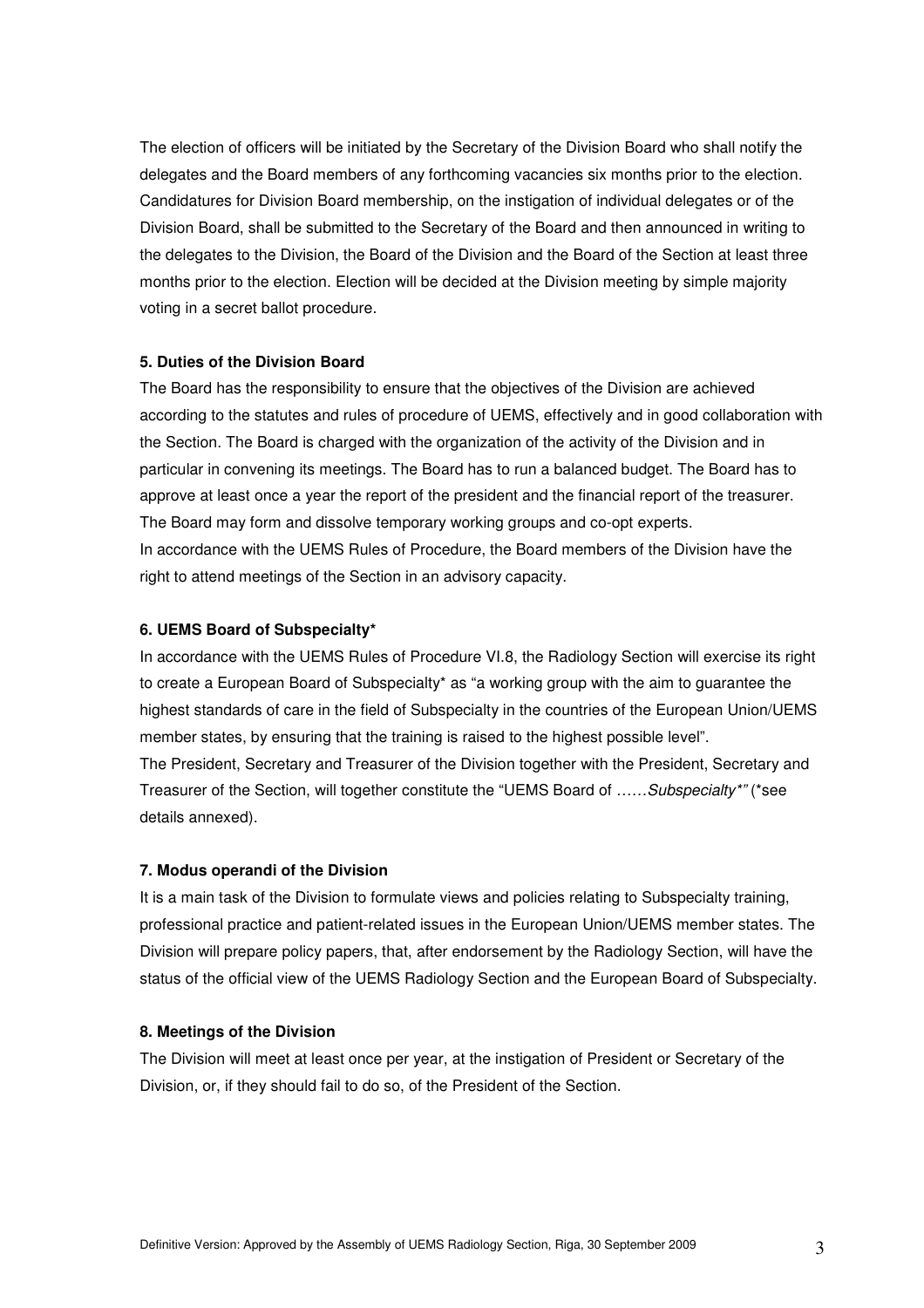The election of officers will be initiated by the Secretary of the Division Board who shall notify the delegates and the Board members of any forthcoming vacancies six months prior to the election. Candidatures for Division Board membership, on the instigation of individual delegates or of the Division Board, shall be submitted to the Secretary of the Board and then announced in writing to the delegates to the Division, the Board of the Division and the Board of the Section at least three months prior to the election. Election will be decided at the Division meeting by simple majority voting in a secret ballot procedure.

#### **5. Duties of the Division Board**

The Board has the responsibility to ensure that the objectives of the Division are achieved according to the statutes and rules of procedure of UEMS, effectively and in good collaboration with the Section. The Board is charged with the organization of the activity of the Division and in particular in convening its meetings. The Board has to run a balanced budget. The Board has to approve at least once a year the report of the president and the financial report of the treasurer. The Board may form and dissolve temporary working groups and co-opt experts. In accordance with the UEMS Rules of Procedure, the Board members of the Division have the right to attend meetings of the Section in an advisory capacity.

#### **6. UEMS Board of Subspecialty\***

In accordance with the UEMS Rules of Procedure VI.8, the Radiology Section will exercise its right to create a European Board of Subspecialty\* as "a working group with the aim to guarantee the highest standards of care in the field of Subspecialty in the countries of the European Union/UEMS member states, by ensuring that the training is raised to the highest possible level". The President, Secretary and Treasurer of the Division together with the President, Secretary and Treasurer of the Section, will together constitute the "UEMS Board of ……Subspecialty\*" (\*see details annexed).

#### **7. Modus operandi of the Division**

It is a main task of the Division to formulate views and policies relating to Subspecialty training, professional practice and patient-related issues in the European Union/UEMS member states. The Division will prepare policy papers, that, after endorsement by the Radiology Section, will have the status of the official view of the UEMS Radiology Section and the European Board of Subspecialty.

#### **8. Meetings of the Division**

The Division will meet at least once per year, at the instigation of President or Secretary of the Division, or, if they should fail to do so, of the President of the Section.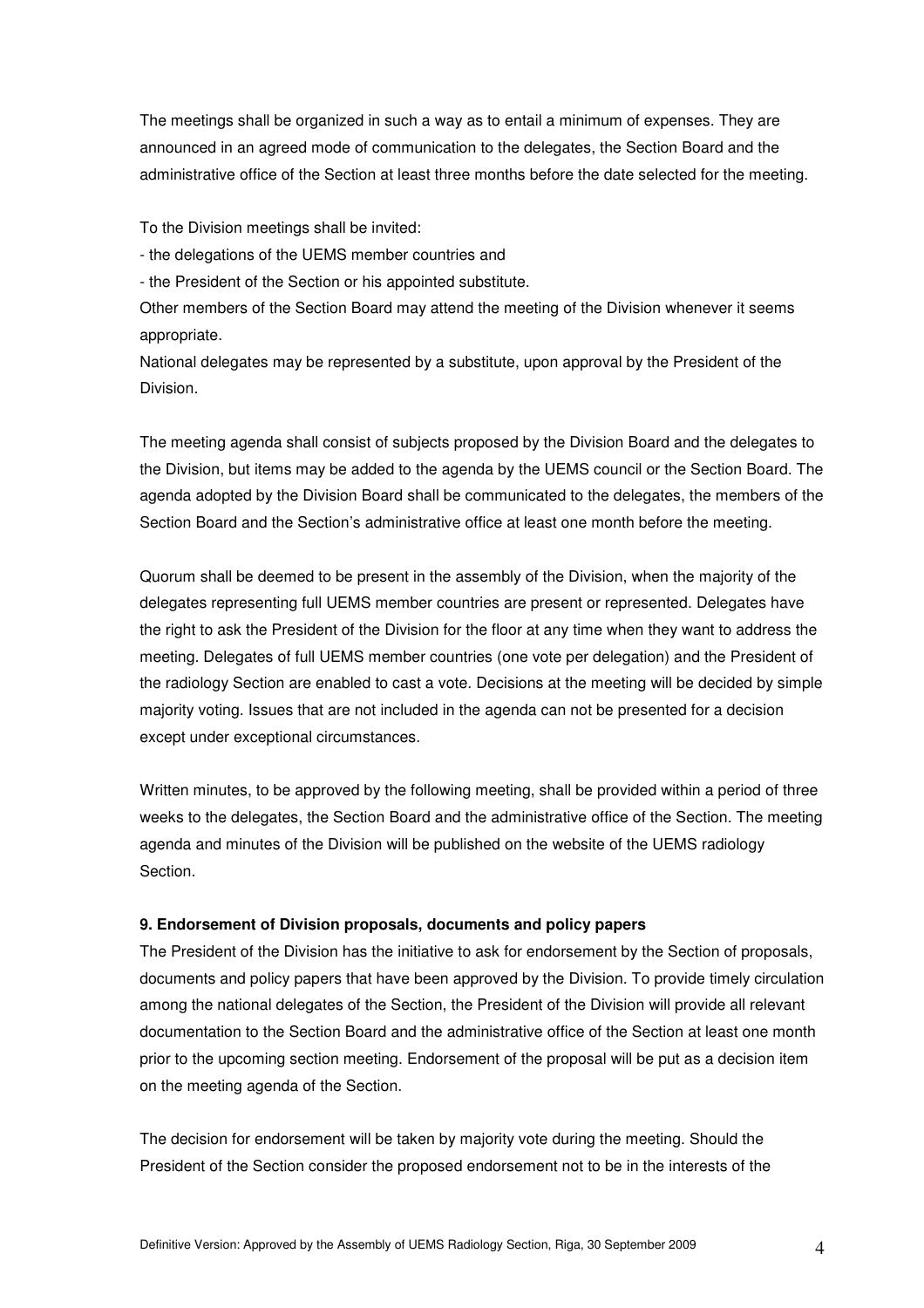The meetings shall be organized in such a way as to entail a minimum of expenses. They are announced in an agreed mode of communication to the delegates, the Section Board and the administrative office of the Section at least three months before the date selected for the meeting.

To the Division meetings shall be invited:

- the delegations of the UEMS member countries and

- the President of the Section or his appointed substitute.

Other members of the Section Board may attend the meeting of the Division whenever it seems appropriate.

National delegates may be represented by a substitute, upon approval by the President of the Division.

The meeting agenda shall consist of subjects proposed by the Division Board and the delegates to the Division, but items may be added to the agenda by the UEMS council or the Section Board. The agenda adopted by the Division Board shall be communicated to the delegates, the members of the Section Board and the Section's administrative office at least one month before the meeting.

Quorum shall be deemed to be present in the assembly of the Division, when the majority of the delegates representing full UEMS member countries are present or represented. Delegates have the right to ask the President of the Division for the floor at any time when they want to address the meeting. Delegates of full UEMS member countries (one vote per delegation) and the President of the radiology Section are enabled to cast a vote. Decisions at the meeting will be decided by simple majority voting. Issues that are not included in the agenda can not be presented for a decision except under exceptional circumstances.

Written minutes, to be approved by the following meeting, shall be provided within a period of three weeks to the delegates, the Section Board and the administrative office of the Section. The meeting agenda and minutes of the Division will be published on the website of the UEMS radiology Section.

#### **9. Endorsement of Division proposals, documents and policy papers**

The President of the Division has the initiative to ask for endorsement by the Section of proposals, documents and policy papers that have been approved by the Division. To provide timely circulation among the national delegates of the Section, the President of the Division will provide all relevant documentation to the Section Board and the administrative office of the Section at least one month prior to the upcoming section meeting. Endorsement of the proposal will be put as a decision item on the meeting agenda of the Section.

The decision for endorsement will be taken by majority vote during the meeting. Should the President of the Section consider the proposed endorsement not to be in the interests of the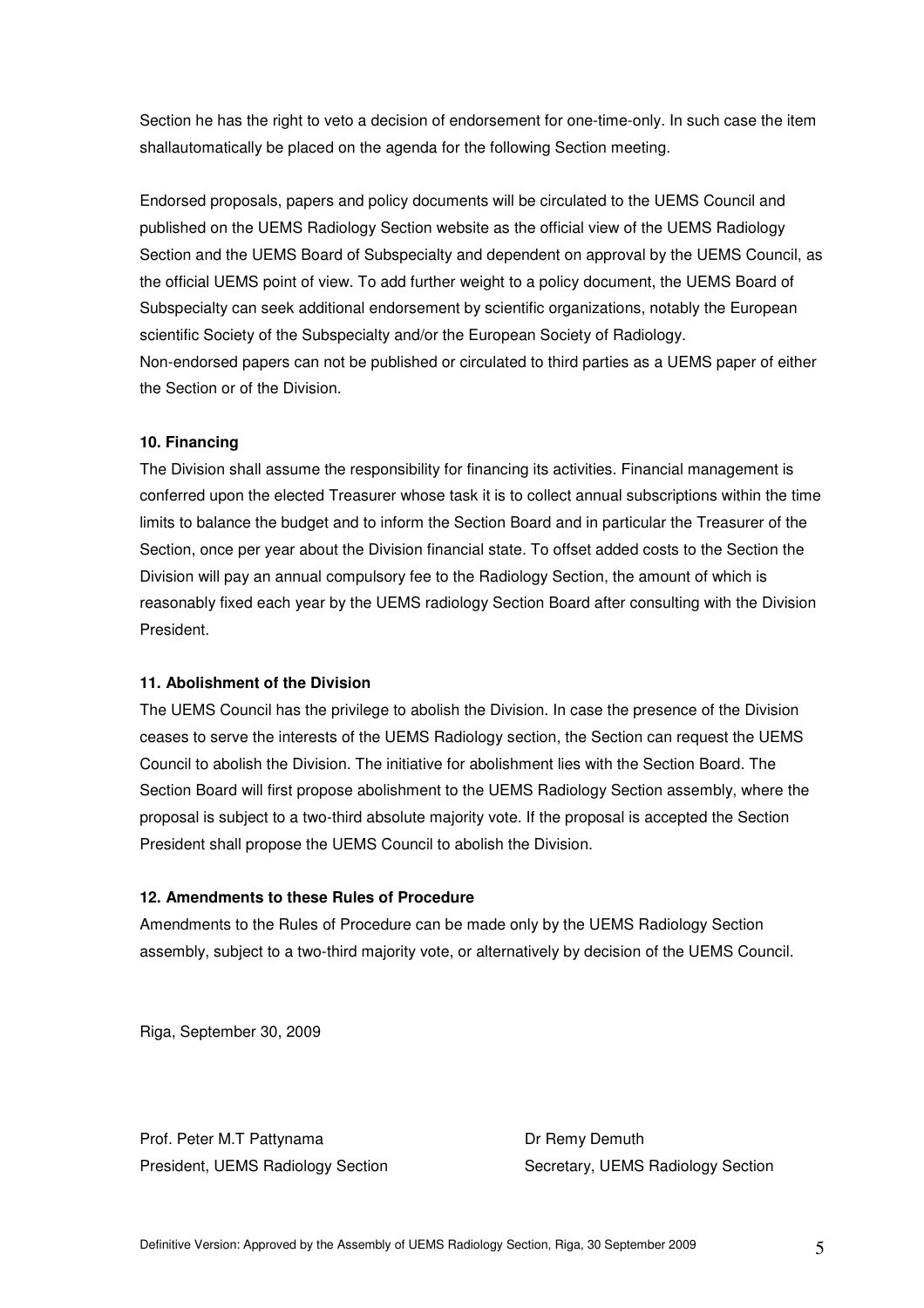Section he has the right to veto a decision of endorsement for one-time-only. In such case the item shallautomatically be placed on the agenda for the following Section meeting.

Endorsed proposals, papers and policy documents will be circulated to the UEMS Council and published on the UEMS Radiology Section website as the official view of the UEMS Radiology Section and the UEMS Board of Subspecialty and dependent on approval by the UEMS Council, as the official UEMS point of view. To add further weight to a policy document, the UEMS Board of Subspecialty can seek additional endorsement by scientific organizations, notably the European scientific Society of the Subspecialty and/or the European Society of Radiology. Non-endorsed papers can not be published or circulated to third parties as a UEMS paper of either the Section or of the Division.

# **10. Financing**

The Division shall assume the responsibility for financing its activities. Financial management is conferred upon the elected Treasurer whose task it is to collect annual subscriptions within the time limits to balance the budget and to inform the Section Board and in particular the Treasurer of the Section, once per year about the Division financial state. To offset added costs to the Section the Division will pay an annual compulsory fee to the Radiology Section, the amount of which is reasonably fixed each year by the UEMS radiology Section Board after consulting with the Division President.

# **11. Abolishment of the Division**

The UEMS Council has the privilege to abolish the Division. In case the presence of the Division ceases to serve the interests of the UEMS Radiology section, the Section can request the UEMS Council to abolish the Division. The initiative for abolishment lies with the Section Board. The Section Board will first propose abolishment to the UEMS Radiology Section assembly, where the proposal is subject to a two-third absolute majority vote. If the proposal is accepted the Section President shall propose the UEMS Council to abolish the Division.

# **12. Amendments to these Rules of Procedure**

Amendments to the Rules of Procedure can be made only by the UEMS Radiology Section assembly, subject to a two-third majority vote, or alternatively by decision of the UEMS Council.

Riga, September 30, 2009

Prof. Peter M.T Pattynama Dr Remy Demuth

President, UEMS Radiology Section Secretary, UEMS Radiology Section